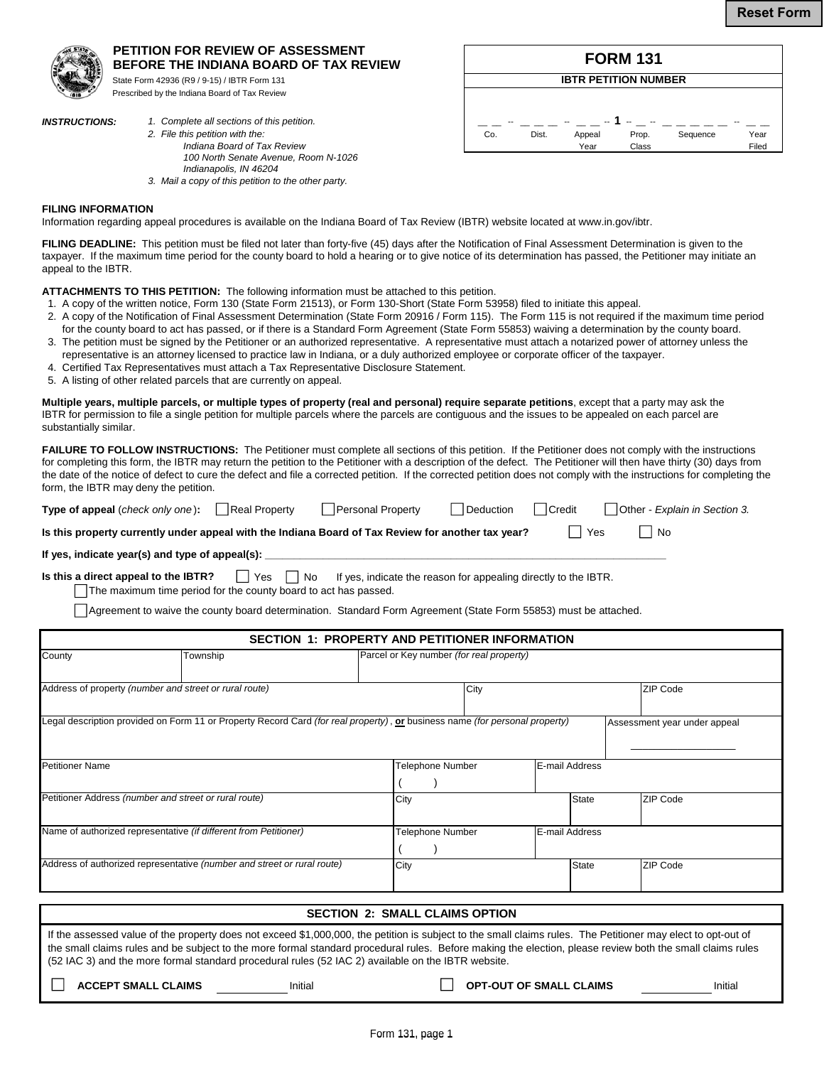

## **PETITION FOR REVIEW OF ASSESSMENT BEFORE THE INDIANA BOARD OF TAX REVIEW**

State Form 42936 (R9 / 9-15) / IBTR Form 131 Prescribed by the Indiana Board of Tax Review

- *INSTRUCTIONS: 1. Complete all sections of this petition.*
	- *100 North Senate Avenue, Room N-1026 Indianapolis, IN 46204*



*3. Mail a copy of this petition to the other party.* 

## **FILING INFORMATION**

Information regarding appeal procedures is available on the Indiana Board of Tax Review (IBTR) website located at www.in.gov/ibtr.

FILING DEADLINE: This petition must be filed not later than forty-five (45) days after the Notification of Final Assessment Determination is given to the taxpayer. If the maximum time period for the county board to hold a hearing or to give notice of its determination has passed, the Petitioner may initiate an appeal to the IBTR.

**ATTACHMENTS TO THIS PETITION:** The following information must be attached to this petition.

- 1. A copy of the written notice, Form 130 (State Form 21513), or Form 130-Short (State Form 53958) filed to initiate this appeal.
- 2. A copy of the Notification of Final Assessment Determination (State Form 20916 / Form 115). The Form 115 is not required if the maximum time period for the county board to act has passed, or if there is a Standard Form Agreement (State Form 55853) waiving a determination by the county board.
- 3. The petition must be signed by the Petitioner or an authorized representative. A representative must attach a notarized power of attorney unless the
- representative is an attorney licensed to practice law in Indiana, or a duly authorized employee or corporate officer of the taxpayer.
- 4. Certified Tax Representatives must attach a Tax Representative Disclosure Statement.
- 5. A listing of other related parcels that are currently on appeal.

**Multiple years, multiple parcels, or multiple types of property (real and personal) require separate petitions**, except that a party may ask the IBTR for permission to file a single petition for multiple parcels where the parcels are contiguous and the issues to be appealed on each parcel are substantially similar.

FAILURE TO FOLLOW INSTRUCTIONS: The Petitioner must complete all sections of this petition. If the Petitioner does not comply with the instructions for completing this form, the IBTR may return the petition to the Petitioner with a description of the defect. The Petitioner will then have thirty (30) days from the date of the notice of defect to cure the defect and file a corrected petition. If the corrected petition does not comply with the instructions for completing the form, the IBTR may deny the petition.

| Type of appeal (check only one):                                                                   | Real Property                | Personal Property           | Deduction | Credit | Other - Explain in Section 3. |
|----------------------------------------------------------------------------------------------------|------------------------------|-----------------------------|-----------|--------|-------------------------------|
| Is this property currently under appeal with the Indiana Board of Tax Review for another tax year? | $\overline{\phantom{a}}$ Yes | $\overline{\phantom{a}}$ No |           |        |                               |

If yes, indicate year(s) and type of appeal(s):

**Is this a direct appeal to the IBTR?**  $\Box$  Yes  $\Box$  No If yes, indicate the reason for appealing directly to the IBTR. The maximum time period for the county board to act has passed.

Agreement to waive the county board determination. Standard Form Agreement (State Form 55853) must be attached.

| <b>SECTION 1: PROPERTY AND PETITIONER INFORMATION</b>                   |                                                                                                                             |                         |                                          |                |                |                 |                              |
|-------------------------------------------------------------------------|-----------------------------------------------------------------------------------------------------------------------------|-------------------------|------------------------------------------|----------------|----------------|-----------------|------------------------------|
| County                                                                  | Township                                                                                                                    |                         | Parcel or Key number (for real property) |                |                |                 |                              |
| Address of property (number and street or rural route)                  |                                                                                                                             | City                    |                                          |                |                | <b>ZIP Code</b> |                              |
|                                                                         | Legal description provided on Form 11 or Property Record Card (for real property), or business name (for personal property) |                         |                                          |                |                |                 | Assessment year under appeal |
| <b>Petitioner Name</b>                                                  |                                                                                                                             | <b>Telephone Number</b> |                                          |                | E-mail Address |                 |                              |
| Petitioner Address (number and street or rural route)                   |                                                                                                                             | City                    |                                          | <b>State</b>   |                | <b>ZIP Code</b> |                              |
| Name of authorized representative (if different from Petitioner)        |                                                                                                                             | <b>Telephone Number</b> |                                          | E-mail Address |                |                 |                              |
| Address of authorized representative (number and street or rural route) |                                                                                                                             | City                    |                                          | <b>State</b>   |                | <b>ZIP Code</b> |                              |
| <b>SECTION 2: SMALL CLAIMS OPTION</b>                                   |                                                                                                                             |                         |                                          |                |                |                 |                              |

 If the assessed value of the property does not exceed \$1,000,000, the petition is subject to the small claims rules. The Petitioner may elect to opt-out of the small claims rules and be subject to the more formal standard procedural rules. Before making the election, please review both the small claims rules (52 IAC 3) and the more formal standard procedural rules (52 IAC 2) available on the IBTR website.

**ACCEPT SMALL CLAIMS Initial CLAIMS Initial CLAIMS Initial OPT-OUT OF SMALL CLAIMS Initial**